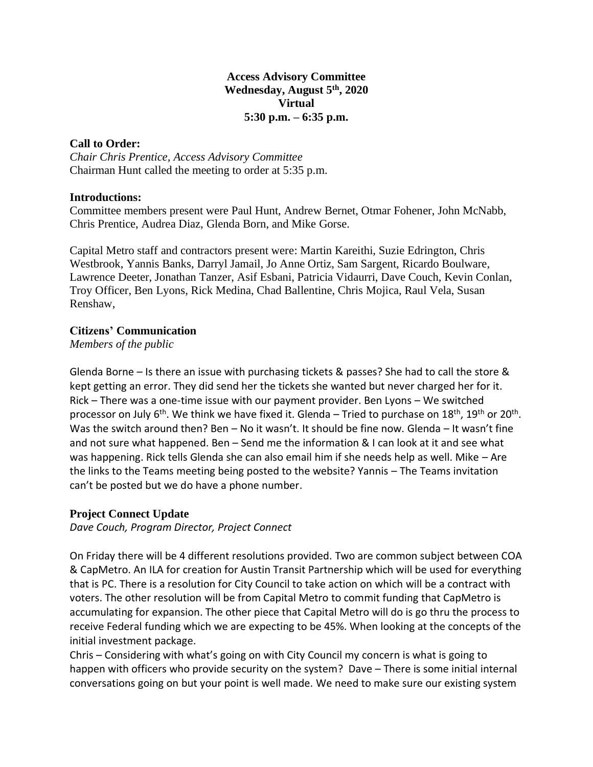## **Access Advisory Committee Wednesday, August 5th, 2020 Virtual 5:30 p.m. – 6:35 p.m.**

## **Call to Order:**

*Chair Chris Prentice, Access Advisory Committee* Chairman Hunt called the meeting to order at 5:35 p.m.

## **Introductions:**

Committee members present were Paul Hunt, Andrew Bernet, Otmar Fohener, John McNabb, Chris Prentice, Audrea Diaz, Glenda Born, and Mike Gorse.

Capital Metro staff and contractors present were: Martin Kareithi, Suzie Edrington, Chris Westbrook, Yannis Banks, Darryl Jamail, Jo Anne Ortiz, Sam Sargent, Ricardo Boulware, Lawrence Deeter, Jonathan Tanzer, Asif Esbani, Patricia Vidaurri, Dave Couch, Kevin Conlan, Troy Officer, Ben Lyons, Rick Medina, Chad Ballentine, Chris Mojica, Raul Vela, Susan Renshaw,

# **Citizens' Communication**

*Members of the public*

Glenda Borne – Is there an issue with purchasing tickets & passes? She had to call the store & kept getting an error. They did send her the tickets she wanted but never charged her for it. Rick – There was a one-time issue with our payment provider. Ben Lyons – We switched processor on July 6<sup>th</sup>. We think we have fixed it. Glenda – Tried to purchase on 18<sup>th</sup>, 19<sup>th</sup> or 20<sup>th</sup>. Was the switch around then? Ben – No it wasn't. It should be fine now. Glenda – It wasn't fine and not sure what happened. Ben – Send me the information & I can look at it and see what was happening. Rick tells Glenda she can also email him if she needs help as well. Mike – Are the links to the Teams meeting being posted to the website? Yannis – The Teams invitation can't be posted but we do have a phone number.

# **Project Connect Update**

*Dave Couch, Program Director, Project Connect*

On Friday there will be 4 different resolutions provided. Two are common subject between COA & CapMetro. An ILA for creation for Austin Transit Partnership which will be used for everything that is PC. There is a resolution for City Council to take action on which will be a contract with voters. The other resolution will be from Capital Metro to commit funding that CapMetro is accumulating for expansion. The other piece that Capital Metro will do is go thru the process to receive Federal funding which we are expecting to be 45%. When looking at the concepts of the initial investment package.

Chris – Considering with what's going on with City Council my concern is what is going to happen with officers who provide security on the system? Dave – There is some initial internal conversations going on but your point is well made. We need to make sure our existing system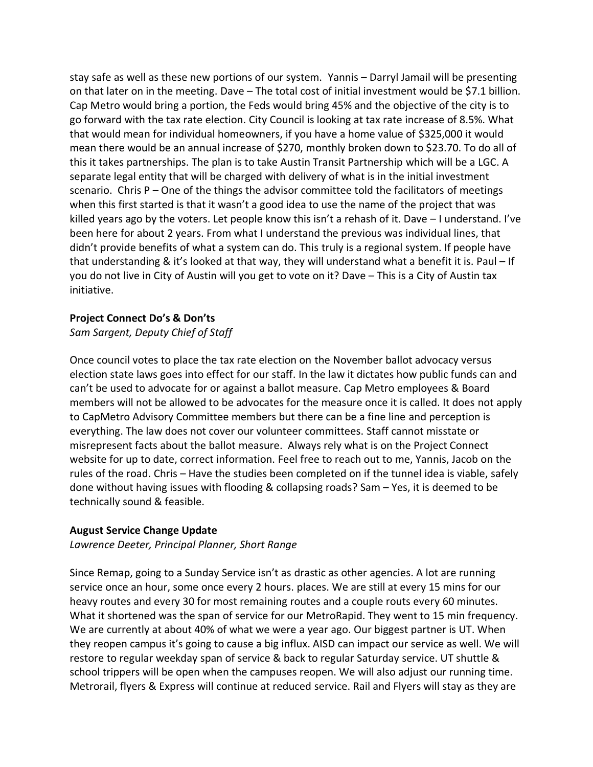stay safe as well as these new portions of our system. Yannis – Darryl Jamail will be presenting on that later on in the meeting. Dave – The total cost of initial investment would be \$7.1 billion. Cap Metro would bring a portion, the Feds would bring 45% and the objective of the city is to go forward with the tax rate election. City Council is looking at tax rate increase of 8.5%. What that would mean for individual homeowners, if you have a home value of \$325,000 it would mean there would be an annual increase of \$270, monthly broken down to \$23.70. To do all of this it takes partnerships. The plan is to take Austin Transit Partnership which will be a LGC. A separate legal entity that will be charged with delivery of what is in the initial investment scenario. Chris  $P -$ One of the things the advisor committee told the facilitators of meetings when this first started is that it wasn't a good idea to use the name of the project that was killed years ago by the voters. Let people know this isn't a rehash of it. Dave – I understand. I've been here for about 2 years. From what I understand the previous was individual lines, that didn't provide benefits of what a system can do. This truly is a regional system. If people have that understanding & it's looked at that way, they will understand what a benefit it is. Paul – If you do not live in City of Austin will you get to vote on it? Dave – This is a City of Austin tax initiative.

### **Project Connect Do's & Don'ts**

## *Sam Sargent, Deputy Chief of Staff*

Once council votes to place the tax rate election on the November ballot advocacy versus election state laws goes into effect for our staff. In the law it dictates how public funds can and can't be used to advocate for or against a ballot measure. Cap Metro employees & Board members will not be allowed to be advocates for the measure once it is called. It does not apply to CapMetro Advisory Committee members but there can be a fine line and perception is everything. The law does not cover our volunteer committees. Staff cannot misstate or misrepresent facts about the ballot measure. Always rely what is on the Project Connect website for up to date, correct information. Feel free to reach out to me, Yannis, Jacob on the rules of the road. Chris – Have the studies been completed on if the tunnel idea is viable, safely done without having issues with flooding & collapsing roads? Sam – Yes, it is deemed to be technically sound & feasible.

#### **August Service Change Update**

*Lawrence Deeter, Principal Planner, Short Range*

Since Remap, going to a Sunday Service isn't as drastic as other agencies. A lot are running service once an hour, some once every 2 hours. places. We are still at every 15 mins for our heavy routes and every 30 for most remaining routes and a couple routs every 60 minutes. What it shortened was the span of service for our MetroRapid. They went to 15 min frequency. We are currently at about 40% of what we were a year ago. Our biggest partner is UT. When they reopen campus it's going to cause a big influx. AISD can impact our service as well. We will restore to regular weekday span of service & back to regular Saturday service. UT shuttle & school trippers will be open when the campuses reopen. We will also adjust our running time. Metrorail, flyers & Express will continue at reduced service. Rail and Flyers will stay as they are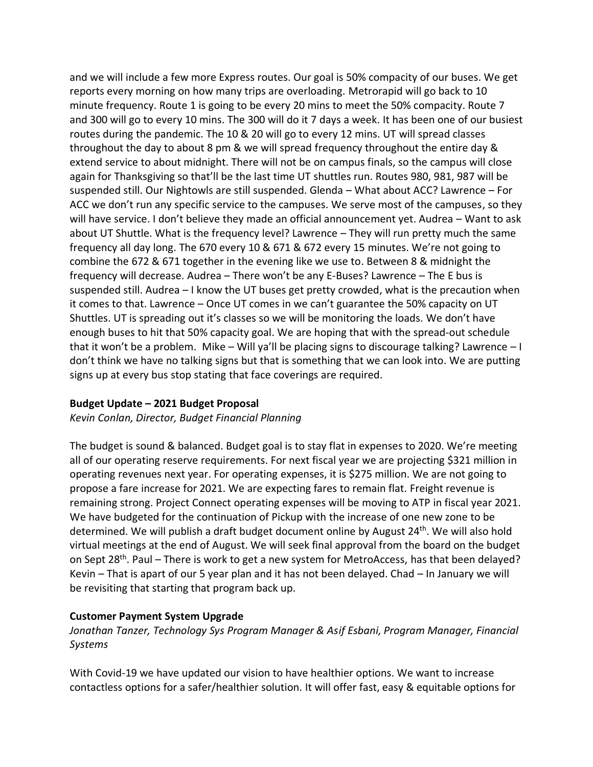and we will include a few more Express routes. Our goal is 50% compacity of our buses. We get reports every morning on how many trips are overloading. Metrorapid will go back to 10 minute frequency. Route 1 is going to be every 20 mins to meet the 50% compacity. Route 7 and 300 will go to every 10 mins. The 300 will do it 7 days a week. It has been one of our busiest routes during the pandemic. The 10 & 20 will go to every 12 mins. UT will spread classes throughout the day to about 8 pm & we will spread frequency throughout the entire day & extend service to about midnight. There will not be on campus finals, so the campus will close again for Thanksgiving so that'll be the last time UT shuttles run. Routes 980, 981, 987 will be suspended still. Our Nightowls are still suspended. Glenda – What about ACC? Lawrence – For ACC we don't run any specific service to the campuses. We serve most of the campuses, so they will have service. I don't believe they made an official announcement yet. Audrea – Want to ask about UT Shuttle. What is the frequency level? Lawrence – They will run pretty much the same frequency all day long. The 670 every 10 & 671 & 672 every 15 minutes. We're not going to combine the 672 & 671 together in the evening like we use to. Between 8 & midnight the frequency will decrease. Audrea – There won't be any E-Buses? Lawrence – The E bus is suspended still. Audrea – I know the UT buses get pretty crowded, what is the precaution when it comes to that. Lawrence – Once UT comes in we can't guarantee the 50% capacity on UT Shuttles. UT is spreading out it's classes so we will be monitoring the loads. We don't have enough buses to hit that 50% capacity goal. We are hoping that with the spread-out schedule that it won't be a problem. Mike – Will ya'll be placing signs to discourage talking? Lawrence – I don't think we have no talking signs but that is something that we can look into. We are putting signs up at every bus stop stating that face coverings are required.

## **Budget Update – 2021 Budget Proposal**

*Kevin Conlan, Director, Budget Financial Planning*

The budget is sound & balanced. Budget goal is to stay flat in expenses to 2020. We're meeting all of our operating reserve requirements. For next fiscal year we are projecting \$321 million in operating revenues next year. For operating expenses, it is \$275 million. We are not going to propose a fare increase for 2021. We are expecting fares to remain flat. Freight revenue is remaining strong. Project Connect operating expenses will be moving to ATP in fiscal year 2021. We have budgeted for the continuation of Pickup with the increase of one new zone to be determined. We will publish a draft budget document online by August 24<sup>th</sup>. We will also hold virtual meetings at the end of August. We will seek final approval from the board on the budget on Sept 28<sup>th</sup>. Paul – There is work to get a new system for MetroAccess, has that been delayed? Kevin – That is apart of our 5 year plan and it has not been delayed. Chad – In January we will be revisiting that starting that program back up.

## **Customer Payment System Upgrade**

*Jonathan Tanzer, Technology Sys Program Manager & Asif Esbani, Program Manager, Financial Systems* 

With Covid-19 we have updated our vision to have healthier options. We want to increase contactless options for a safer/healthier solution. It will offer fast, easy & equitable options for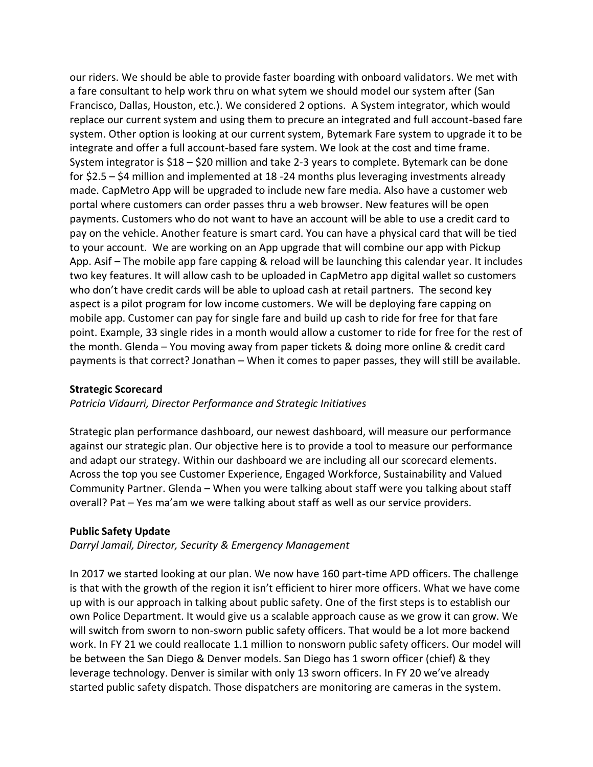our riders. We should be able to provide faster boarding with onboard validators. We met with a fare consultant to help work thru on what sytem we should model our system after (San Francisco, Dallas, Houston, etc.). We considered 2 options. A System integrator, which would replace our current system and using them to precure an integrated and full account-based fare system. Other option is looking at our current system, Bytemark Fare system to upgrade it to be integrate and offer a full account-based fare system. We look at the cost and time frame. System integrator is \$18 – \$20 million and take 2-3 years to complete. Bytemark can be done for \$2.5 – \$4 million and implemented at 18 -24 months plus leveraging investments already made. CapMetro App will be upgraded to include new fare media. Also have a customer web portal where customers can order passes thru a web browser. New features will be open payments. Customers who do not want to have an account will be able to use a credit card to pay on the vehicle. Another feature is smart card. You can have a physical card that will be tied to your account. We are working on an App upgrade that will combine our app with Pickup App. Asif – The mobile app fare capping & reload will be launching this calendar year. It includes two key features. It will allow cash to be uploaded in CapMetro app digital wallet so customers who don't have credit cards will be able to upload cash at retail partners. The second key aspect is a pilot program for low income customers. We will be deploying fare capping on mobile app. Customer can pay for single fare and build up cash to ride for free for that fare point. Example, 33 single rides in a month would allow a customer to ride for free for the rest of the month. Glenda – You moving away from paper tickets & doing more online & credit card payments is that correct? Jonathan – When it comes to paper passes, they will still be available.

## **Strategic Scorecard**

## *Patricia Vidaurri, Director Performance and Strategic Initiatives*

Strategic plan performance dashboard, our newest dashboard, will measure our performance against our strategic plan. Our objective here is to provide a tool to measure our performance and adapt our strategy. Within our dashboard we are including all our scorecard elements. Across the top you see Customer Experience, Engaged Workforce, Sustainability and Valued Community Partner. Glenda – When you were talking about staff were you talking about staff overall? Pat – Yes ma'am we were talking about staff as well as our service providers.

## **Public Safety Update**

*Darryl Jamail, Director, Security & Emergency Management*

In 2017 we started looking at our plan. We now have 160 part-time APD officers. The challenge is that with the growth of the region it isn't efficient to hirer more officers. What we have come up with is our approach in talking about public safety. One of the first steps is to establish our own Police Department. It would give us a scalable approach cause as we grow it can grow. We will switch from sworn to non-sworn public safety officers. That would be a lot more backend work. In FY 21 we could reallocate 1.1 million to nonsworn public safety officers. Our model will be between the San Diego & Denver models. San Diego has 1 sworn officer (chief) & they leverage technology. Denver is similar with only 13 sworn officers. In FY 20 we've already started public safety dispatch. Those dispatchers are monitoring are cameras in the system.